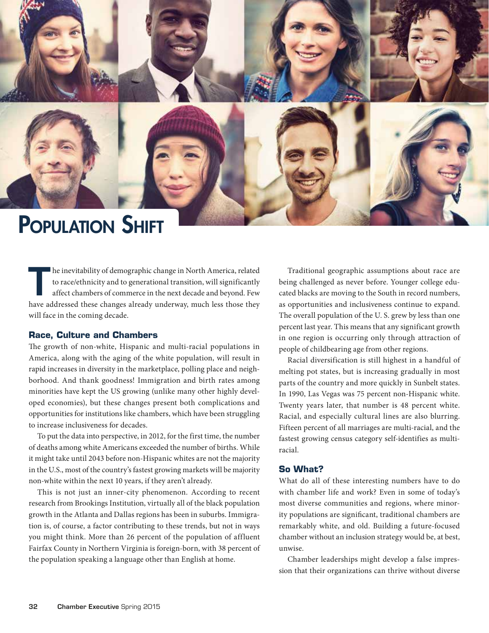

# **POPULATION SHIFT**

The inevitability of demographic change in North America, related to race/ethnicity and to generational transition, will significantly affect chambers of commerce in the next decade and beyond. Few have addressed these changes already underway, much less those they will face in the coming decade.

# **Race, Culture and Chambers**

The growth of non-white, Hispanic and multi-racial populations in America, along with the aging of the white population, will result in rapid increases in diversity in the marketplace, polling place and neighborhood. And thank goodness! Immigration and birth rates among minorities have kept the US growing (unlike many other highly developed economies), but these changes present both complications and opportunities for institutions like chambers, which have been struggling to increase inclusiveness for decades.

To put the data into perspective, in 2012, for the first time, the number of deaths among white Americans exceeded the number of births. While it might take until 2043 before non-Hispanic whites are not the majority in the U.S., most of the country's fastest growing markets will be majority non-white within the next 10 years, if they aren't already.

This is not just an inner-city phenomenon. According to recent research from Brookings Institution, virtually all of the black population growth in the Atlanta and Dallas regions has been in suburbs. Immigration is, of course, a factor contributing to these trends, but not in ways you might think. More than 26 percent of the population of affluent Fairfax County in Northern Virginia is foreign-born, with 38 percent of the population speaking a language other than English at home.

Traditional geographic assumptions about race are being challenged as never before. Younger college educated blacks are moving to the South in record numbers, as opportunities and inclusiveness continue to expand. The overall population of the U. S. grew by less than one percent last year. This means that any significant growth in one region is occurring only through attraction of people of childbearing age from other regions.

Racial diversification is still highest in a handful of melting pot states, but is increasing gradually in most parts of the country and more quickly in Sunbelt states. In 1990, Las Vegas was 75 percent non-Hispanic white. Twenty years later, that number is 48 percent white. Racial, and especially cultural lines are also blurring. Fifteen percent of all marriages are multi-racial, and the fastest growing census category self-identifies as multiracial.

#### **So What?**

What do all of these interesting numbers have to do with chamber life and work? Even in some of today's most diverse communities and regions, where minority populations are significant, traditional chambers are remarkably white, and old. Building a future-focused chamber without an inclusion strategy would be, at best, unwise.

Chamber leaderships might develop a false impression that their organizations can thrive without diverse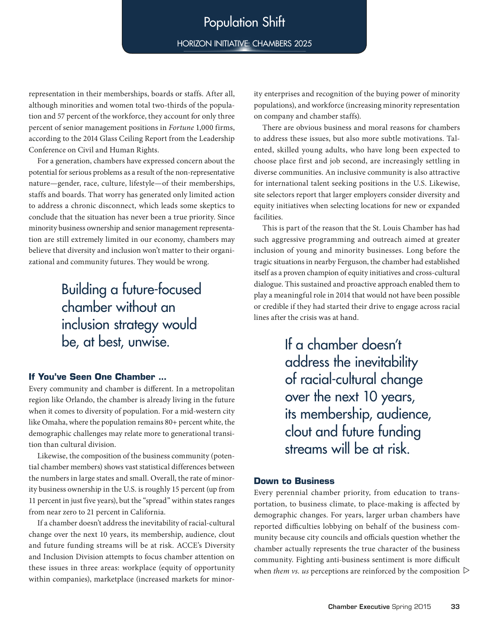representation in their memberships, boards or staffs. After all, although minorities and women total two-thirds of the population and 57 percent of the workforce, they account for only three percent of senior management positions in *Fortune* 1,000 firms, according to the 2014 Glass Ceiling Report from the Leadership Conference on Civil and Human Rights.

For a generation, chambers have expressed concern about the potential for serious problems as a result of the non-representative nature—gender, race, culture, lifestyle—of their memberships, staffs and boards. That worry has generated only limited action to address a chronic disconnect, which leads some skeptics to conclude that the situation has never been a true priority. Since minority business ownership and senior management representation are still extremely limited in our economy, chambers may believe that diversity and inclusion won't matter to their organizational and community futures. They would be wrong.

# Building a future-focused chamber without an inclusion strategy would be, at best, unwise. The same of the set of the set of the set of the set of the set of the set of the set of t

# **If You've Seen One Chamber ...**

Every community and chamber is different. In a metropolitan region like Orlando, the chamber is already living in the future when it comes to diversity of population. For a mid-western city like Omaha, where the population remains 80+ percent white, the demographic challenges may relate more to generational transition than cultural division.

Likewise, the composition of the business community (potential chamber members) shows vast statistical differences between the numbers in large states and small. Overall, the rate of minority business ownership in the U.S. is roughly 15 percent (up from 11 percent in just five years), but the "spread" within states ranges from near zero to 21 percent in California.

If a chamber doesn't address the inevitability of racial-cultural change over the next 10 years, its membership, audience, clout and future funding streams will be at risk. ACCE's Diversity and Inclusion Division attempts to focus chamber attention on these issues in three areas: workplace (equity of opportunity within companies), marketplace (increased markets for minority enterprises and recognition of the buying power of minority populations), and workforce (increasing minority representation on company and chamber staffs).

There are obvious business and moral reasons for chambers to address these issues, but also more subtle motivations. Talented, skilled young adults, who have long been expected to choose place first and job second, are increasingly settling in diverse communities. An inclusive community is also attractive for international talent seeking positions in the U.S. Likewise, site selectors report that larger employers consider diversity and equity initiatives when selecting locations for new or expanded facilities.

This is part of the reason that the St. Louis Chamber has had such aggressive programming and outreach aimed at greater inclusion of young and minority businesses. Long before the tragic situations in nearby Ferguson, the chamber had established itself as a proven champion of equity initiatives and cross-cultural dialogue. This sustained and proactive approach enabled them to play a meaningful role in 2014 that would not have been possible or credible if they had started their drive to engage across racial lines after the crisis was at hand.

> address the inevitability of racial-cultural change over the next 10 years, its membership, audience, clout and future funding streams will be at risk.

# **Down to Business**

Every perennial chamber priority, from education to transportation, to business climate, to place-making is affected by demographic changes. For years, larger urban chambers have reported difficulties lobbying on behalf of the business community because city councils and officials question whether the chamber actually represents the true character of the business community. Fighting anti-business sentiment is more difficult when *them vs. us* perceptions are reinforced by the composition  $\triangleright$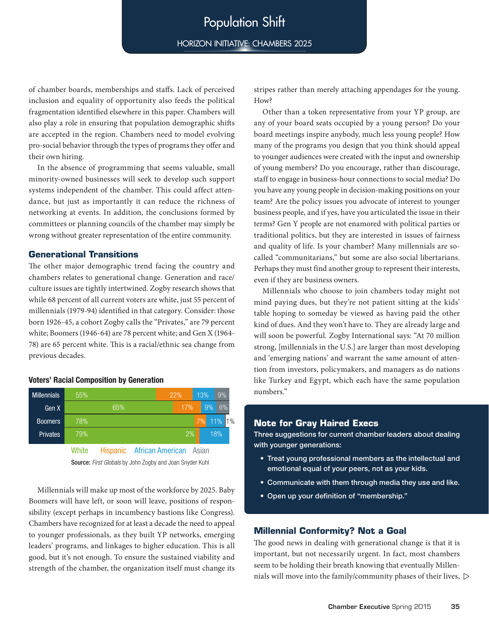of chamber boards, memberships and staffs. Lack of perceived inclusion and equality of opportunity also feeds the political fragmentation identified elsewhere in this paper. Chambers will also play a role in ensuring that population demographic shifts are accepted in the region. Chambers need to model evolving pro-social behavior through the types of programs they offer and their own hiring.

In the absence of programming that seems valuable, small minority-owned businesses will seek to develop such support systems independent of the chamber. This could affect attendance, but just as importantly it can reduce the richness of networking at events. In addition, the conclusions formed by committees or planning councils of the chamber may simply be wrong without greater representation of the entire community.

#### **Generational Transitions**

The other major demographic trend facing the country and chambers relates to generational change. Generation and race/ culture issues are tightly intertwined. Zogby research shows that while 68 percent of all current voters are white, just 55 percent of millennials (1979-94) identified in that category. Consider: those born 1926-45, a cohort Zogby calls the "Privates," are 79 percent white; Boomers (1946-64) are 78 percent white; and Gen X (1964- 78) are 65 percent white. This is a racial/ethnic sea change from previous decades.

#### Voters' Racial Composition by Generation



Millennials will make up most of the workforce by 2025. Baby Boomers will have left, or soon will leave, positions of responsibility (except perhaps in incumbency bastions like Congress). Chambers have recognized for at least a decade the need to appeal to younger professionals, as they built YP networks, emerging leaders' programs, and linkages to higher education. This is all good, but it's not enough. To ensure the sustained viability and strength of the chamber, the organization itself must change its stripes rather than merely attaching appendages for the young. How?

Other than a token representative from your YP group, are any of your board seats occupied by a young person? Do your board meetings inspire anybody, much less young people? How many of the programs you design that you think should appeal to younger audiences were created with the input and ownership of young members? Do you encourage, rather than discourage, staff to engage in business-hour connections to social media? Do you have any young people in decision-making positions on your team? Are the policy issues you advocate of interest to younger business people, and if yes, have you articulated the issue in their terms? Gen Y people are not enamored with political parties or traditional politics, but they are interested in issues of fairness and quality of life. Is your chamber? Many millennials are socalled "communitarians," but some are also social libertarians. Perhaps they must find another group to represent their interests, even if they are business owners.

Millennials who choose to join chambers today might not mind paying dues, but they're not patient sitting at the kids' table hoping to someday be viewed as having paid the other kind of dues. And they won't have to. They are already large and will soon be powerful. Zogby International says: "At 70 million strong, [millennials in the U.S.] are larger than most developing and 'emerging nations' and warrant the same amount of attention from investors, policymakers, and managers as do nations like Turkey and Egypt, which each have the same population numbers."

#### **Note for Gray Haired Execs**

Three suggestions for current chamber leaders about dealing with younger generations:

- Treat young professional members as the intellectual and emotional equal of your peers, not as your kids.
- Communicate with them through media they use and like.
- Open up your definition of "membership."

### **Millennial Conformity? Not a Goal**

The good news in dealing with generational change is that it is important, but not necessarily urgent. In fact, most chambers seem to be holding their breath knowing that eventually Millennials will move into the family/community phases of their lives,  $\triangleright$